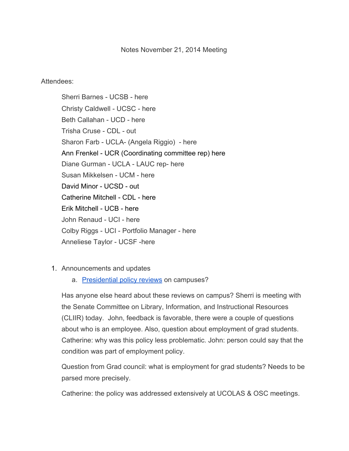## Notes November 21, 2014 Meeting

## Attendees:

Sherri Barnes - UCSB - here Christy Caldwell - UCSC - here Beth Callahan - UCD - here Trisha Cruse - CDL - out Sharon Farb - UCLA- (Angela Riggio) - here Ann Frenkel - UCR (Coordinating committee rep) here Diane Gurman - UCLA - LAUC rep- here Susan Mikkelsen - UCM - here David Minor - UCSD - out Catherine Mitchell - CDL - here Erik Mitchell - UCB - here John Renaud - UCI - here Colby Riggs - UCI - Portfolio Manager - here Anneliese Taylor - UCSF -here

- 1. Announcements and updates
	- a. [Presidential](https://drive.google.com/file/d/0B-ECx5ymmAGpVnliaUtnT2VPT1k/view?usp=sharing%20https://drive.google.com/file/d/0B-ECx5ymmAGpRDZaaFl5dGlpV0U/view?usp=sharing%20https://drive.google.com/file/d/0B-ECx5ymmAGpXzA2d0J3UVAtbDA/view?usp=sharing) policy reviews on campuses?

Has anyone else heard about these reviews on campus? Sherri is meeting with the Senate Committee on Library, Information, and Instructional Resources (CLIIR) today. John, feedback is favorable, there were a couple of questions about who is an employee. Also, question about employment of grad students. Catherine: why was this policy less problematic. John: person could say that the condition was part of employment policy.

Question from Grad council: what is employment for grad students? Needs to be parsed more precisely.

Catherine: the policy was addressed extensively at UCOLAS & OSC meetings.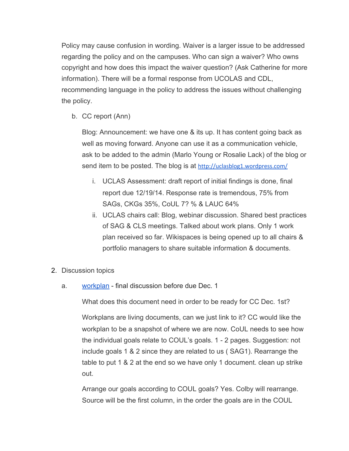Policy may cause confusion in wording. Waiver is a larger issue to be addressed regarding the policy and on the campuses. Who can sign a waiver? Who owns copyright and how does this impact the waiver question? (Ask Catherine for more information). There will be a formal response from UCOLAS and CDL, recommending language in the policy to address the issues without challenging the policy.

b. CC report (Ann)

Blog: Announcement: we have one & its up. It has content going back as well as moving forward. Anyone can use it as a communication vehicle, ask to be added to the admin (Marlo Young or Rosalie Lack) of the blog or send item to be posted. The blog is at [http://uclasblog1.wordpress.com/](http://www.google.com/url?q=http%3A%2F%2Fuclasblog1.wordpress.com%2F&sa=D&sntz=1&usg=AFQjCNGmbIJRWlSUHYTPNHjrMFqvNDTERw)

- i. UCLAS Assessment: draft report of initial findings is done, final report due 12/19/14. Response rate is tremendous, 75% from SAGs, CKGs 35%, CoUL 7? % & LAUC 64%
- ii. UCLAS chairs call: Blog, webinar discussion. Shared best practices of SAG & CLS meetings. Talked about work plans. Only 1 work plan received so far. Wikispaces is being opened up to all chairs & portfolio managers to share suitable information & documents.
- 2. Discussion topics
	- a. [workplan](https://www.google.com/url?q=https%3A%2F%2Fwiki.library.ucsf.edu%2Fpages%2Fviewpage.action%3Ftitle%3DTable%2B2%2B-%2BPortfolio%2B-%2B%2BAssess%2Band%2BMonitor%26spaceKey%3DUCLSAG1&sa=D&sntz=1&usg=AFQjCNFydMff28QeGuiaDp3kRlVeNslonQ) final discussion before due Dec. 1

What does this document need in order to be ready for CC Dec. 1st?

Workplans are living documents, can we just link to it? CC would like the workplan to be a snapshot of where we are now. CoUL needs to see how the individual goals relate to COUL's goals. 1 2 pages. Suggestion: not include goals 1 & 2 since they are related to us ( SAG1). Rearrange the table to put 1 & 2 at the end so we have only 1 document. clean up strike out.

Arrange our goals according to COUL goals? Yes. Colby will rearrange. Source will be the first column, in the order the goals are in the COUL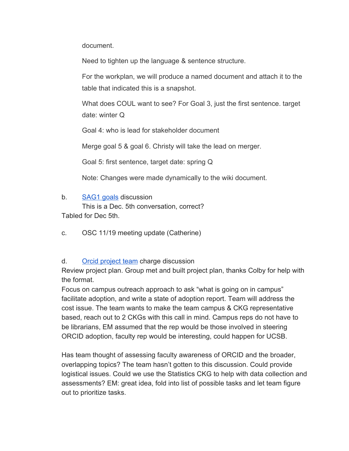document.

Need to tighten up the language & sentence structure.

For the workplan, we will produce a named document and attach it to the table that indicated this is a snapshot.

What does COUL want to see? For Goal 3, just the first sentence. target date: winter Q

Goal 4: who is lead for stakeholder document

Merge goal 5 & goal 6. Christy will take the lead on merger.

Goal 5: first sentence, target date: spring Q

Note: Changes were made dynamically to the wiki document.

b. [SAG1](https://docs.google.com/document/d/1S_jyZ6SdbnLPKMV1Ql2JB5xqJM9rMZ9-sDrxzNAcdLY/edit?usp=sharing) goals discussion

This is a Dec. 5th conversation, correct? Tabled for Dec 5th.

c. OSC 11/19 meeting update (Catherine)

## d. Orcid [project](https://docs.google.com/a/ucsc.edu/document/d/1N6XEwh-on6LSS6IXQiwe17Cd1IL13uIugG1P1JQPrpY/edit?usp=sharing) team charge discussion

Review project plan. Group met and built project plan, thanks Colby for help with the format.

Focus on campus outreach approach to ask "what is going on in campus" facilitate adoption, and write a state of adoption report. Team will address the cost issue. The team wants to make the team campus & CKG representative based, reach out to 2 CKGs with this call in mind. Campus reps do not have to be librarians, EM assumed that the rep would be those involved in steering ORCID adoption, faculty rep would be interesting, could happen for UCSB.

Has team thought of assessing faculty awareness of ORCID and the broader, overlapping topics? The team hasn't gotten to this discussion. Could provide logistical issues. Could we use the Statistics CKG to help with data collection and assessments? EM: great idea, fold into list of possible tasks and let team figure out to prioritize tasks.